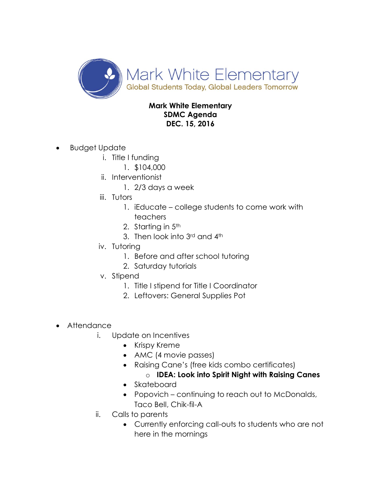

## **Mark White Elementary SDMC Agenda DEC. 15, 2016**

- Budget Update
	- i. Title I funding
		- 1. \$104,000
	- ii. Interventionist
		- 1. 2/3 days a week
	- iii. Tutors
		- 1. iEducate college students to come work with teachers
		- 2. Starting in 5<sup>th</sup>
		- 3. Then look into 3rd and 4th
	- iv. Tutoring
		- 1. Before and after school tutoring
		- 2. Saturday tutorials
	- v. Stipend
		- 1. Title I stipend for Title I Coordinator
		- 2. Leftovers: General Supplies Pot
- Attendance
	- i. Update on Incentives
		- Krispy Kreme
		- AMC (4 movie passes)
		- Raising Cane's (free kids combo certificates)
			- o **IDEA: Look into Spirit Night with Raising Canes**
		- Skateboard
		- Popovich continuing to reach out to McDonalds, Taco Bell, Chik-fil-A
	- ii. Calls to parents
		- Currently enforcing call-outs to students who are not here in the mornings